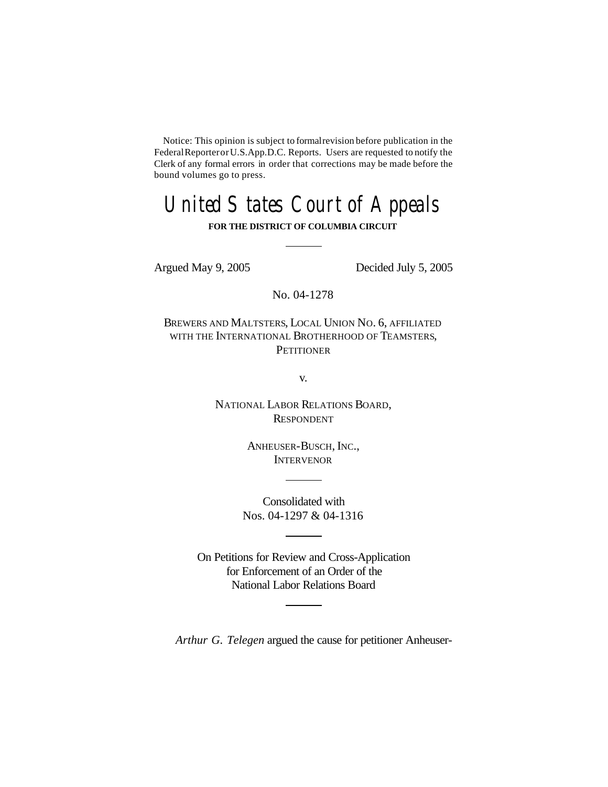Notice: This opinion is subject to formalrevision before publication in the FederalReporterorU.S.App.D.C. Reports. Users are requested to notify the Clerk of any formal errors in order that corrections may be made before the bound volumes go to press.

# United States Court of Appeals

## **FOR THE DISTRICT OF COLUMBIA CIRCUIT**

Argued May 9, 2005 Decided July 5, 2005

No. 04-1278

BREWERS AND MALTSTERS, LOCAL UNION NO. 6, AFFILIATED WITH THE INTERNATIONAL BROTHERHOOD OF TEAMSTERS, **PETITIONER** 

v.

NATIONAL LABOR RELATIONS BOARD, RESPONDENT

> ANHEUSER-BUSCH, INC., **INTERVENOR**

Consolidated with Nos. 04-1297 & 04-1316

On Petitions for Review and Cross-Application for Enforcement of an Order of the National Labor Relations Board

*Arthur G. Telegen* argued the cause for petitioner Anheuser-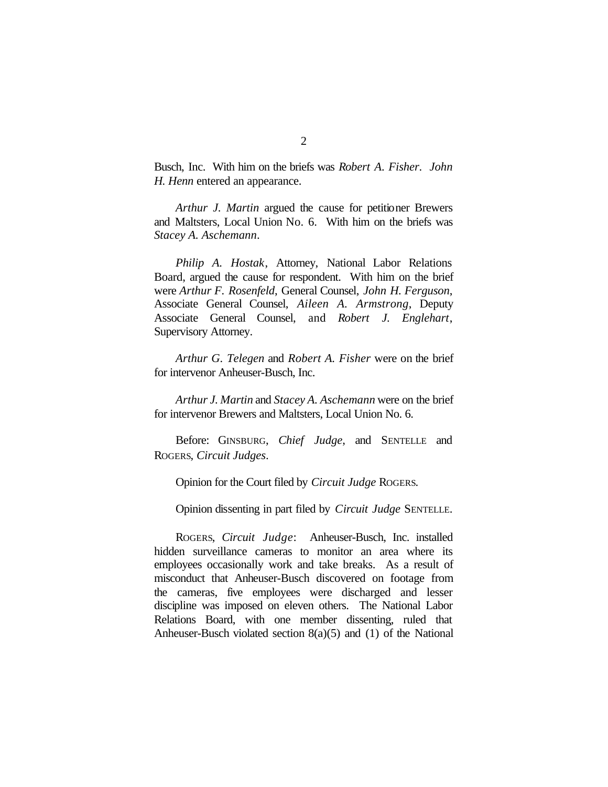Busch, Inc. With him on the briefs was *Robert A. Fisher*. *John H. Henn* entered an appearance.

*Arthur J. Martin* argued the cause for petitioner Brewers and Maltsters, Local Union No. 6. With him on the briefs was *Stacey A. Aschemann*.

*Philip A. Hostak*, Attorney, National Labor Relations Board, argued the cause for respondent. With him on the brief were *Arthur F. Rosenfeld*, General Counsel, *John H. Ferguson*, Associate General Counsel, *Aileen A. Armstrong*, Deputy Associate General Counsel, and *Robert J. Englehart*, Supervisory Attorney.

*Arthur G. Telegen* and *Robert A. Fisher* were on the brief for intervenor Anheuser-Busch, Inc.

*Arthur J. Martin* and *Stacey A. Aschemann* were on the brief for intervenor Brewers and Maltsters, Local Union No. 6.

Before: GINSBURG, *Chief Judge*, and SENTELLE and ROGERS, *Circuit Judges*.

Opinion for the Court filed by *Circuit Judge* ROGERS.

Opinion dissenting in part filed by *Circuit Judge* SENTELLE.

ROGERS, *Circuit Judge*: Anheuser-Busch, Inc. installed hidden surveillance cameras to monitor an area where its employees occasionally work and take breaks. As a result of misconduct that Anheuser-Busch discovered on footage from the cameras, five employees were discharged and lesser discipline was imposed on eleven others. The National Labor Relations Board, with one member dissenting, ruled that Anheuser-Busch violated section 8(a)(5) and (1) of the National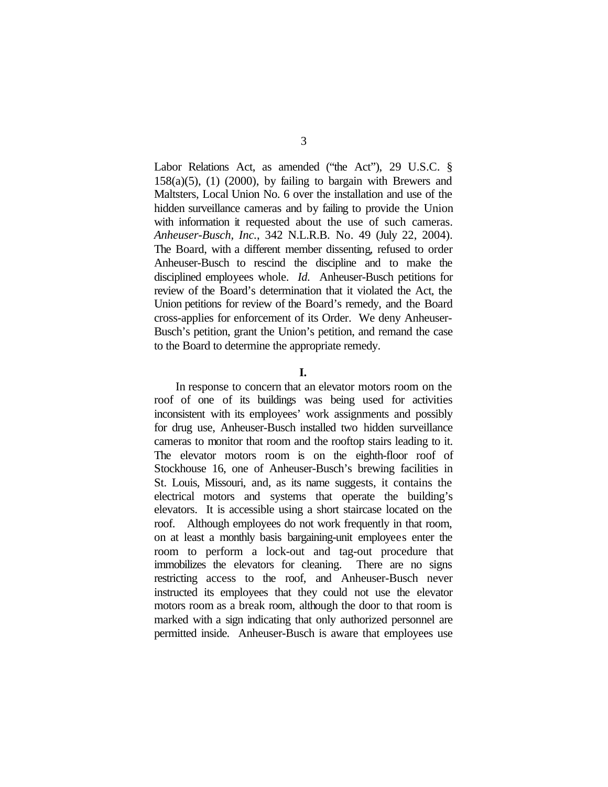Labor Relations Act, as amended ("the Act"), 29 U.S.C. §  $158(a)(5)$ , (1) (2000), by failing to bargain with Brewers and Maltsters, Local Union No. 6 over the installation and use of the hidden surveillance cameras and by failing to provide the Union with information it requested about the use of such cameras. *Anheuser-Busch, Inc.*, 342 N.L.R.B. No. 49 (July 22, 2004). The Board, with a different member dissenting, refused to order Anheuser-Busch to rescind the discipline and to make the disciplined employees whole. *Id.* Anheuser-Busch petitions for review of the Board's determination that it violated the Act, the Union petitions for review of the Board's remedy, and the Board cross-applies for enforcement of its Order. We deny Anheuser-Busch's petition, grant the Union's petition, and remand the case to the Board to determine the appropriate remedy.

## **I.**

In response to concern that an elevator motors room on the roof of one of its buildings was being used for activities inconsistent with its employees' work assignments and possibly for drug use, Anheuser-Busch installed two hidden surveillance cameras to monitor that room and the rooftop stairs leading to it. The elevator motors room is on the eighth-floor roof of Stockhouse 16, one of Anheuser-Busch's brewing facilities in St. Louis, Missouri, and, as its name suggests, it contains the electrical motors and systems that operate the building's elevators. It is accessible using a short staircase located on the roof. Although employees do not work frequently in that room, on at least a monthly basis bargaining-unit employees enter the room to perform a lock-out and tag-out procedure that immobilizes the elevators for cleaning. There are no signs restricting access to the roof, and Anheuser-Busch never instructed its employees that they could not use the elevator motors room as a break room, although the door to that room is marked with a sign indicating that only authorized personnel are permitted inside. Anheuser-Busch is aware that employees use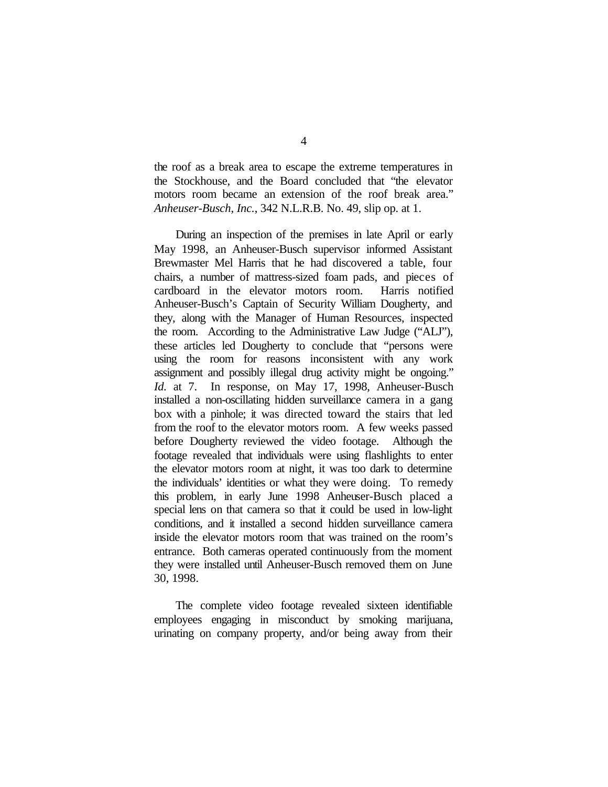the roof as a break area to escape the extreme temperatures in the Stockhouse, and the Board concluded that "the elevator motors room became an extension of the roof break area." *Anheuser-Busch, Inc.*, 342 N.L.R.B. No. 49, slip op. at 1.

During an inspection of the premises in late April or early May 1998, an Anheuser-Busch supervisor informed Assistant Brewmaster Mel Harris that he had discovered a table, four chairs, a number of mattress-sized foam pads, and pieces of cardboard in the elevator motors room. Harris notified Anheuser-Busch's Captain of Security William Dougherty, and they, along with the Manager of Human Resources, inspected the room. According to the Administrative Law Judge ("ALJ"), these articles led Dougherty to conclude that "persons were using the room for reasons inconsistent with any work assignment and possibly illegal drug activity might be ongoing." *Id.* at 7. In response, on May 17, 1998, Anheuser-Busch installed a non-oscillating hidden surveillance camera in a gang box with a pinhole; it was directed toward the stairs that led from the roof to the elevator motors room. A few weeks passed before Dougherty reviewed the video footage. Although the footage revealed that individuals were using flashlights to enter the elevator motors room at night, it was too dark to determine the individuals' identities or what they were doing. To remedy this problem, in early June 1998 Anheuser-Busch placed a special lens on that camera so that it could be used in low-light conditions, and it installed a second hidden surveillance camera inside the elevator motors room that was trained on the room's entrance. Both cameras operated continuously from the moment they were installed until Anheuser-Busch removed them on June 30, 1998.

The complete video footage revealed sixteen identifiable employees engaging in misconduct by smoking marijuana, urinating on company property, and/or being away from their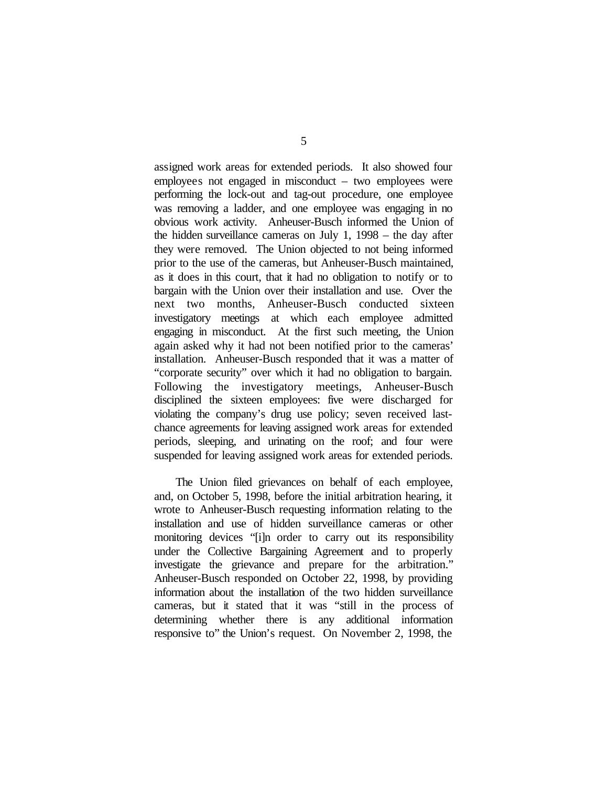assigned work areas for extended periods. It also showed four employees not engaged in misconduct – two employees were performing the lock-out and tag-out procedure, one employee was removing a ladder, and one employee was engaging in no obvious work activity. Anheuser-Busch informed the Union of the hidden surveillance cameras on July 1, 1998 – the day after they were removed. The Union objected to not being informed prior to the use of the cameras, but Anheuser-Busch maintained, as it does in this court, that it had no obligation to notify or to bargain with the Union over their installation and use. Over the next two months, Anheuser-Busch conducted sixteen investigatory meetings at which each employee admitted engaging in misconduct. At the first such meeting, the Union again asked why it had not been notified prior to the cameras' installation. Anheuser-Busch responded that it was a matter of "corporate security" over which it had no obligation to bargain. Following the investigatory meetings, Anheuser-Busch disciplined the sixteen employees: five were discharged for violating the company's drug use policy; seven received lastchance agreements for leaving assigned work areas for extended periods, sleeping, and urinating on the roof; and four were suspended for leaving assigned work areas for extended periods.

The Union filed grievances on behalf of each employee, and, on October 5, 1998, before the initial arbitration hearing, it wrote to Anheuser-Busch requesting information relating to the installation and use of hidden surveillance cameras or other monitoring devices "[i]n order to carry out its responsibility under the Collective Bargaining Agreement and to properly investigate the grievance and prepare for the arbitration." Anheuser-Busch responded on October 22, 1998, by providing information about the installation of the two hidden surveillance cameras, but it stated that it was "still in the process of determining whether there is any additional information responsive to" the Union's request. On November 2, 1998, the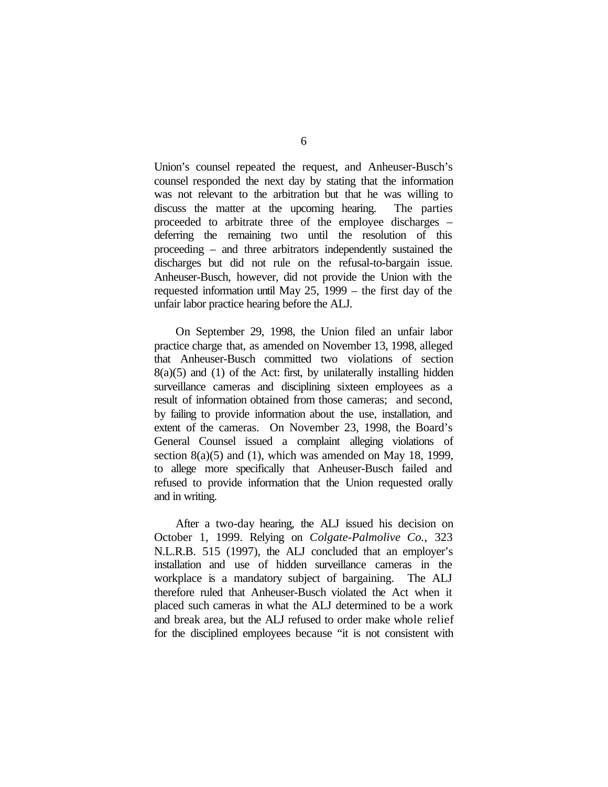Union's counsel repeated the request, and Anheuser-Busch's counsel responded the next day by stating that the information was not relevant to the arbitration but that he was willing to discuss the matter at the upcoming hearing. The parties proceeded to arbitrate three of the employee discharges – deferring the remaining two until the resolution of this proceeding – and three arbitrators independently sustained the discharges but did not rule on the refusal-to-bargain issue. Anheuser-Busch, however, did not provide the Union with the requested information until May 25, 1999 – the first day of the unfair labor practice hearing before the ALJ.

On September 29, 1998, the Union filed an unfair labor practice charge that, as amended on November 13, 1998, alleged that Anheuser-Busch committed two violations of section  $8(a)(5)$  and  $(1)$  of the Act: first, by unilaterally installing hidden surveillance cameras and disciplining sixteen employees as a result of information obtained from those cameras; and second, by failing to provide information about the use, installation, and extent of the cameras. On November 23, 1998, the Board's General Counsel issued a complaint alleging violations of section  $8(a)(5)$  and (1), which was amended on May 18, 1999, to allege more specifically that Anheuser-Busch failed and refused to provide information that the Union requested orally and in writing.

After a two-day hearing, the ALJ issued his decision on October 1, 1999. Relying on *Colgate-Palmolive Co.*, 323 N.L.R.B. 515 (1997), the ALJ concluded that an employer's installation and use of hidden surveillance cameras in the workplace is a mandatory subject of bargaining. The ALJ therefore ruled that Anheuser-Busch violated the Act when it placed such cameras in what the ALJ determined to be a work and break area, but the ALJ refused to order make whole relief for the disciplined employees because "it is not consistent with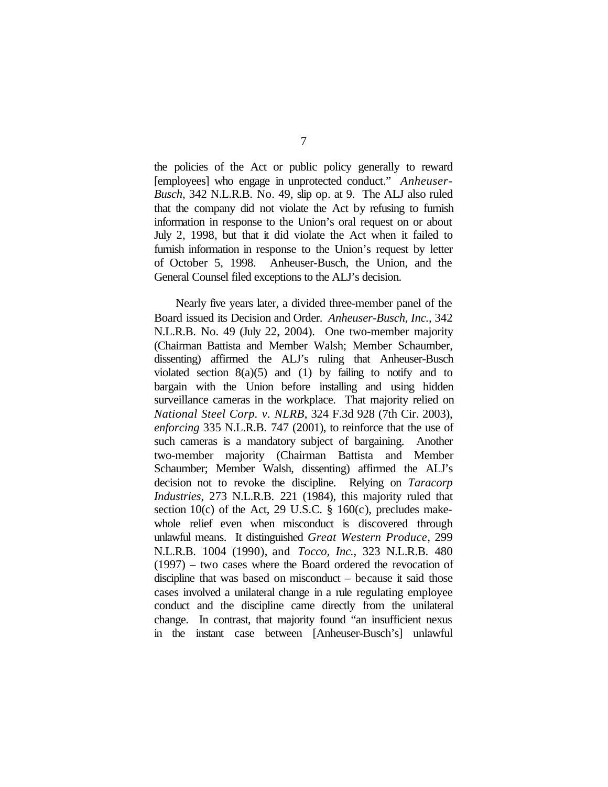the policies of the Act or public policy generally to reward [employees] who engage in unprotected conduct." *Anheuser-Busch*, 342 N.L.R.B. No. 49, slip op. at 9. The ALJ also ruled that the company did not violate the Act by refusing to furnish information in response to the Union's oral request on or about July 2, 1998, but that it did violate the Act when it failed to furnish information in response to the Union's request by letter of October 5, 1998. Anheuser-Busch, the Union, and the General Counsel filed exceptions to the ALJ's decision.

Nearly five years later, a divided three-member panel of the Board issued its Decision and Order. *Anheuser-Busch, Inc.*, 342 N.L.R.B. No. 49 (July 22, 2004). One two-member majority (Chairman Battista and Member Walsh; Member Schaumber, dissenting) affirmed the ALJ's ruling that Anheuser-Busch violated section  $8(a)(5)$  and  $(1)$  by failing to notify and to bargain with the Union before installing and using hidden surveillance cameras in the workplace. That majority relied on *National Steel Corp. v. NLRB*, 324 F.3d 928 (7th Cir. 2003), *enforcing* 335 N.L.R.B. 747 (2001), to reinforce that the use of such cameras is a mandatory subject of bargaining. Another two-member majority (Chairman Battista and Member Schaumber; Member Walsh, dissenting) affirmed the ALJ's decision not to revoke the discipline. Relying on *Taracorp Industries*, 273 N.L.R.B. 221 (1984), this majority ruled that section 10(c) of the Act, 29 U.S.C.  $\S$  160(c), precludes makewhole relief even when misconduct is discovered through unlawful means. It distinguished *Great Western Produce*, 299 N.L.R.B. 1004 (1990), and *Tocco, Inc.*, 323 N.L.R.B. 480 (1997) – two cases where the Board ordered the revocation of discipline that was based on misconduct – because it said those cases involved a unilateral change in a rule regulating employee conduct and the discipline came directly from the unilateral change. In contrast, that majority found "an insufficient nexus in the instant case between [Anheuser-Busch's] unlawful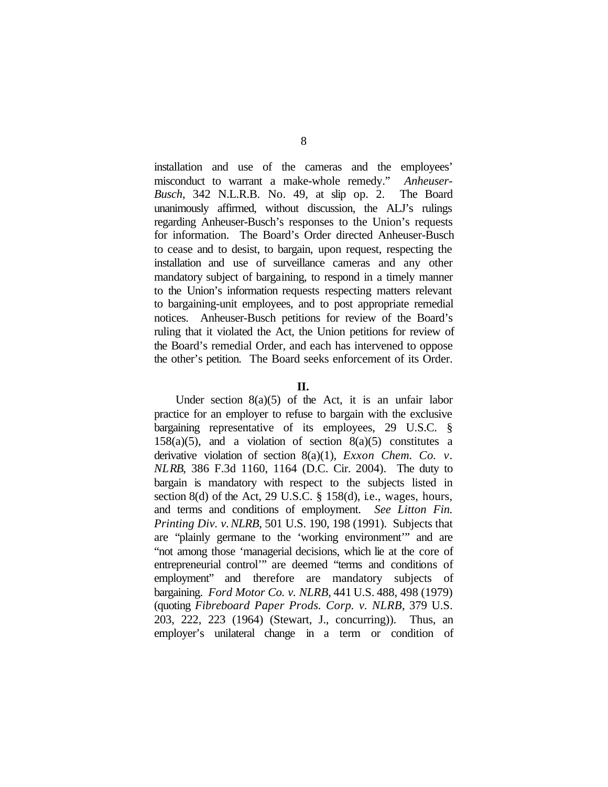installation and use of the cameras and the employees' misconduct to warrant a make-whole remedy." *Anheuser-Busch*, 342 N.L.R.B. No. 49, at slip op. 2. The Board unanimously affirmed, without discussion, the ALJ's rulings regarding Anheuser-Busch's responses to the Union's requests for information. The Board's Order directed Anheuser-Busch to cease and to desist, to bargain, upon request, respecting the installation and use of surveillance cameras and any other mandatory subject of bargaining, to respond in a timely manner to the Union's information requests respecting matters relevant to bargaining-unit employees, and to post appropriate remedial notices. Anheuser-Busch petitions for review of the Board's ruling that it violated the Act, the Union petitions for review of the Board's remedial Order, and each has intervened to oppose the other's petition. The Board seeks enforcement of its Order.

# **II.**

Under section  $8(a)(5)$  of the Act, it is an unfair labor practice for an employer to refuse to bargain with the exclusive bargaining representative of its employees, 29 U.S.C. §  $158(a)(5)$ , and a violation of section  $8(a)(5)$  constitutes a derivative violation of section 8(a)(1), *Exxon Chem. Co. v. NLRB*, 386 F.3d 1160, 1164 (D.C. Cir. 2004). The duty to bargain is mandatory with respect to the subjects listed in section 8(d) of the Act, 29 U.S.C.  $\S$  158(d), i.e., wages, hours, and terms and conditions of employment. *See Litton Fin. Printing Div. v.NLRB*, 501 U.S. 190, 198 (1991). Subjects that are "plainly germane to the 'working environment'" and are "not among those 'managerial decisions, which lie at the core of entrepreneurial control'" are deemed "terms and conditions of employment" and therefore are mandatory subjects of bargaining. *Ford Motor Co. v. NLRB*, 441 U.S. 488, 498 (1979) (quoting *Fibreboard Paper Prods. Corp. v. NLRB*, 379 U.S. 203, 222, 223 (1964) (Stewart, J., concurring)). Thus, an employer's unilateral change in a term or condition of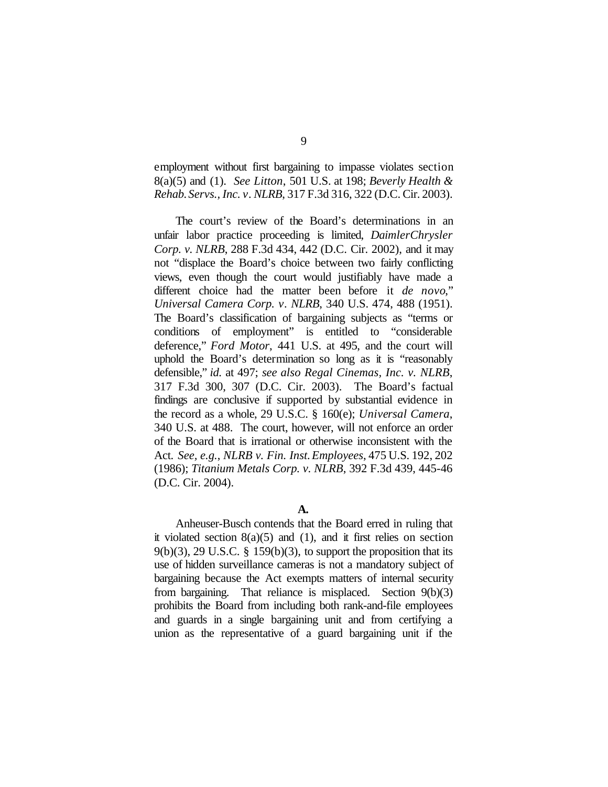employment without first bargaining to impasse violates section 8(a)(5) and (1). *See Litton*, 501 U.S. at 198; *Beverly Health & Rehab.Servs., Inc. v. NLRB*, 317 F.3d 316, 322 (D.C. Cir. 2003).

The court's review of the Board's determinations in an unfair labor practice proceeding is limited, *DaimlerChrysler Corp. v. NLRB*, 288 F.3d 434, 442 (D.C. Cir. 2002), and it may not "displace the Board's choice between two fairly conflicting views, even though the court would justifiably have made a different choice had the matter been before it *de novo*," *Universal Camera Corp. v. NLRB*, 340 U.S. 474, 488 (1951). The Board's classification of bargaining subjects as "terms or conditions of employment" is entitled to "considerable deference," *Ford Motor*, 441 U.S. at 495, and the court will uphold the Board's determination so long as it is "reasonably defensible," *id.* at 497; *see also Regal Cinemas, Inc. v. NLRB*, 317 F.3d 300, 307 (D.C. Cir. 2003). The Board's factual findings are conclusive if supported by substantial evidence in the record as a whole, 29 U.S.C. § 160(e); *Universal Camera*, 340 U.S. at 488. The court, however, will not enforce an order of the Board that is irrational or otherwise inconsistent with the Act. *See, e.g.*, *NLRB v. Fin. Inst.Employees*, 475 U.S. 192, 202 (1986); *Titanium Metals Corp. v. NLRB*, 392 F.3d 439, 445-46 (D.C. Cir. 2004).

# **A.**

Anheuser-Busch contends that the Board erred in ruling that it violated section  $8(a)(5)$  and  $(1)$ , and it first relies on section  $9(b)(3)$ , 29 U.S.C. § 159 $(b)(3)$ , to support the proposition that its use of hidden surveillance cameras is not a mandatory subject of bargaining because the Act exempts matters of internal security from bargaining. That reliance is misplaced. Section 9(b)(3) prohibits the Board from including both rank-and-file employees and guards in a single bargaining unit and from certifying a union as the representative of a guard bargaining unit if the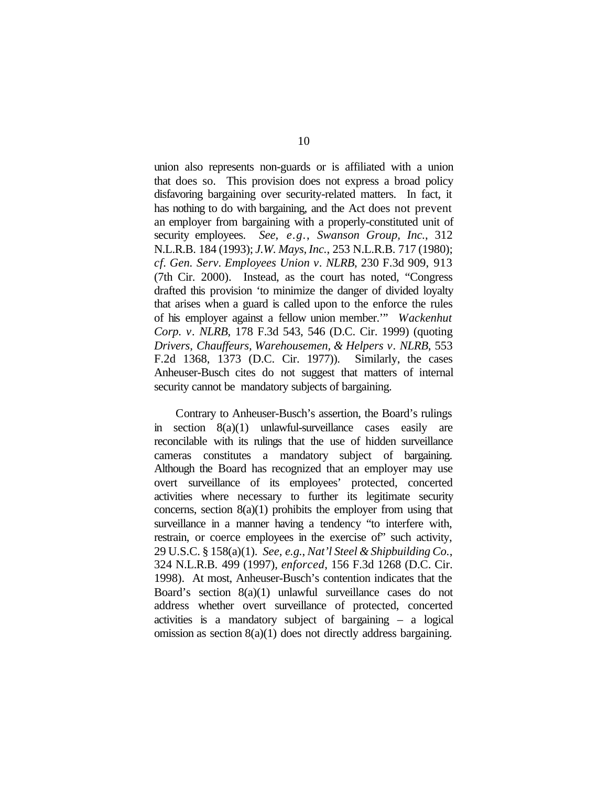union also represents non-guards or is affiliated with a union that does so. This provision does not express a broad policy disfavoring bargaining over security-related matters. In fact, it has nothing to do with bargaining, and the Act does not prevent an employer from bargaining with a properly-constituted unit of security employees. *See, e.g.*, *Swanson Group, Inc.*, 312 N.L.R.B. 184 (1993); *J.W. Mays, Inc.*, 253 N.L.R.B. 717 (1980); *cf. Gen. Serv. Employees Union v. NLRB*, 230 F.3d 909, 913 (7th Cir. 2000). Instead, as the court has noted, "Congress drafted this provision 'to minimize the danger of divided loyalty that arises when a guard is called upon to the enforce the rules of his employer against a fellow union member.'" *Wackenhut Corp. v. NLRB*, 178 F.3d 543, 546 (D.C. Cir. 1999) (quoting *Drivers, Chauffeurs, Warehousemen, & Helpers v. NLRB*, 553 F.2d 1368, 1373 (D.C. Cir. 1977)). Similarly, the cases Anheuser-Busch cites do not suggest that matters of internal security cannot be mandatory subjects of bargaining.

Contrary to Anheuser-Busch's assertion, the Board's rulings in section 8(a)(1) unlawful-surveillance cases easily are reconcilable with its rulings that the use of hidden surveillance cameras constitutes a mandatory subject of bargaining. Although the Board has recognized that an employer may use overt surveillance of its employees' protected, concerted activities where necessary to further its legitimate security concerns, section  $8(a)(1)$  prohibits the employer from using that surveillance in a manner having a tendency "to interfere with, restrain, or coerce employees in the exercise of" such activity, 29 U.S.C. § 158(a)(1). *See, e.g.*, *Nat'l Steel & Shipbuilding Co.*, 324 N.L.R.B. 499 (1997), *enforced*, 156 F.3d 1268 (D.C. Cir. 1998). At most, Anheuser-Busch's contention indicates that the Board's section 8(a)(1) unlawful surveillance cases do not address whether overt surveillance of protected, concerted activities is a mandatory subject of bargaining – a logical omission as section 8(a)(1) does not directly address bargaining.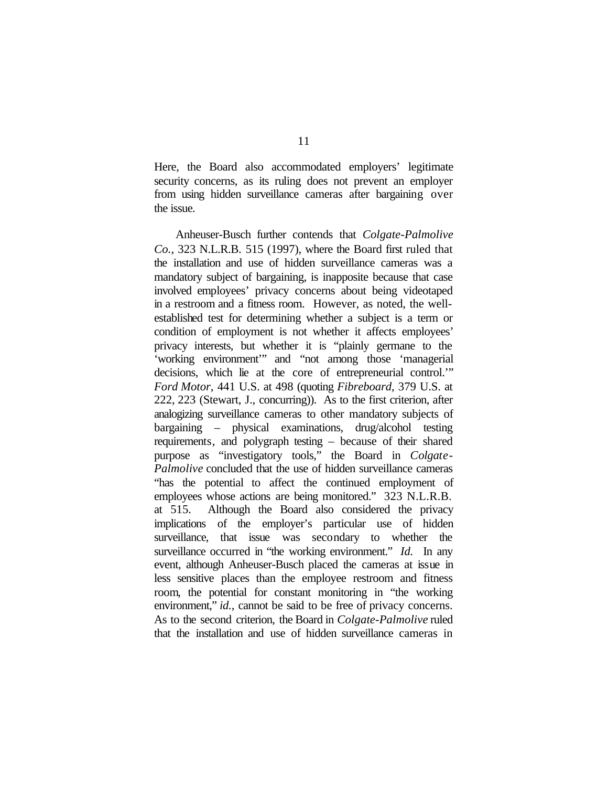Here, the Board also accommodated employers' legitimate security concerns, as its ruling does not prevent an employer from using hidden surveillance cameras after bargaining over the issue.

Anheuser-Busch further contends that *Colgate-Palmolive Co.*, 323 N.L.R.B. 515 (1997), where the Board first ruled that the installation and use of hidden surveillance cameras was a mandatory subject of bargaining, is inapposite because that case involved employees' privacy concerns about being videotaped in a restroom and a fitness room. However, as noted, the wellestablished test for determining whether a subject is a term or condition of employment is not whether it affects employees' privacy interests, but whether it is "plainly germane to the 'working environment'" and "not among those 'managerial decisions, which lie at the core of entrepreneurial control.'" *Ford Motor*, 441 U.S. at 498 (quoting *Fibreboard*, 379 U.S. at 222, 223 (Stewart, J., concurring)). As to the first criterion, after analogizing surveillance cameras to other mandatory subjects of bargaining – physical examinations, drug/alcohol testing requirements, and polygraph testing – because of their shared purpose as "investigatory tools," the Board in *Colgate-Palmolive* concluded that the use of hidden surveillance cameras "has the potential to affect the continued employment of employees whose actions are being monitored." 323 N.L.R.B. at 515. Although the Board also considered the privacy implications of the employer's particular use of hidden surveillance, that issue was secondary to whether the surveillance occurred in "the working environment." *Id.* In any event, although Anheuser-Busch placed the cameras at issue in less sensitive places than the employee restroom and fitness room, the potential for constant monitoring in "the working environment," *id.*, cannot be said to be free of privacy concerns. As to the second criterion, the Board in *Colgate-Palmolive* ruled that the installation and use of hidden surveillance cameras in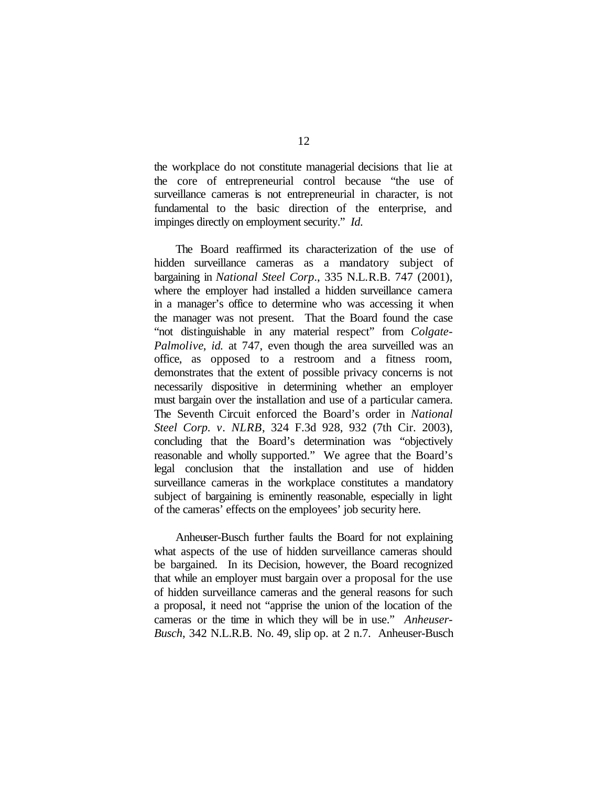the workplace do not constitute managerial decisions that lie at the core of entrepreneurial control because "the use of surveillance cameras is not entrepreneurial in character, is not fundamental to the basic direction of the enterprise, and impinges directly on employment security." *Id.*

The Board reaffirmed its characterization of the use of hidden surveillance cameras as a mandatory subject of bargaining in *National Steel Corp*., 335 N.L.R.B. 747 (2001), where the employer had installed a hidden surveillance camera in a manager's office to determine who was accessing it when the manager was not present. That the Board found the case "not distinguishable in any material respect" from *Colgate-Palmolive*, *id.* at 747, even though the area surveilled was an office, as opposed to a restroom and a fitness room, demonstrates that the extent of possible privacy concerns is not necessarily dispositive in determining whether an employer must bargain over the installation and use of a particular camera. The Seventh Circuit enforced the Board's order in *National Steel Corp. v. NLRB*, 324 F.3d 928, 932 (7th Cir. 2003), concluding that the Board's determination was "objectively reasonable and wholly supported." We agree that the Board's legal conclusion that the installation and use of hidden surveillance cameras in the workplace constitutes a mandatory subject of bargaining is eminently reasonable, especially in light of the cameras' effects on the employees' job security here.

Anheuser-Busch further faults the Board for not explaining what aspects of the use of hidden surveillance cameras should be bargained. In its Decision, however, the Board recognized that while an employer must bargain over a proposal for the use of hidden surveillance cameras and the general reasons for such a proposal, it need not "apprise the union of the location of the cameras or the time in which they will be in use." *Anheuser-Busch*, 342 N.L.R.B. No. 49, slip op. at 2 n.7. Anheuser-Busch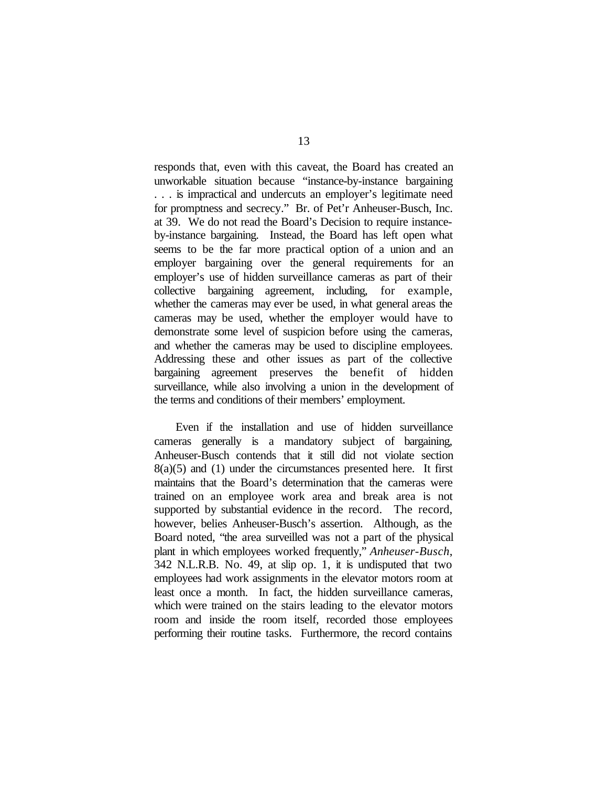responds that, even with this caveat, the Board has created an unworkable situation because "instance-by-instance bargaining . . . is impractical and undercuts an employer's legitimate need for promptness and secrecy." Br. of Pet'r Anheuser-Busch, Inc. at 39. We do not read the Board's Decision to require instanceby-instance bargaining. Instead, the Board has left open what seems to be the far more practical option of a union and an employer bargaining over the general requirements for an employer's use of hidden surveillance cameras as part of their collective bargaining agreement, including, for example, whether the cameras may ever be used, in what general areas the cameras may be used, whether the employer would have to demonstrate some level of suspicion before using the cameras, and whether the cameras may be used to discipline employees. Addressing these and other issues as part of the collective bargaining agreement preserves the benefit of hidden surveillance, while also involving a union in the development of the terms and conditions of their members' employment.

Even if the installation and use of hidden surveillance cameras generally is a mandatory subject of bargaining, Anheuser-Busch contends that it still did not violate section  $8(a)(5)$  and  $(1)$  under the circumstances presented here. It first maintains that the Board's determination that the cameras were trained on an employee work area and break area is not supported by substantial evidence in the record. The record, however, belies Anheuser-Busch's assertion. Although, as the Board noted, "the area surveilled was not a part of the physical plant in which employees worked frequently," *Anheuser-Busch*, 342 N.L.R.B. No. 49, at slip op. 1, it is undisputed that two employees had work assignments in the elevator motors room at least once a month. In fact, the hidden surveillance cameras, which were trained on the stairs leading to the elevator motors room and inside the room itself, recorded those employees performing their routine tasks. Furthermore, the record contains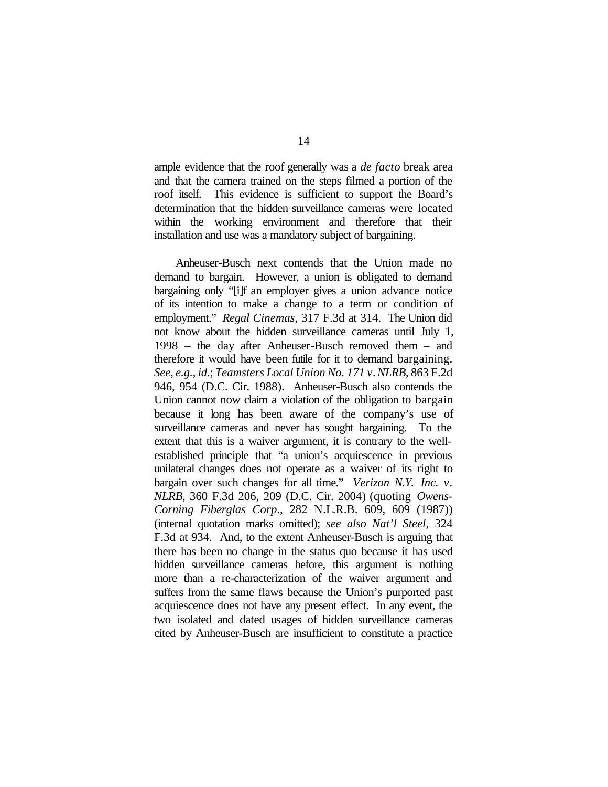ample evidence that the roof generally was a *de facto* break area and that the camera trained on the steps filmed a portion of the roof itself. This evidence is sufficient to support the Board's determination that the hidden surveillance cameras were located within the working environment and therefore that their installation and use was a mandatory subject of bargaining.

Anheuser-Busch next contends that the Union made no demand to bargain. However, a union is obligated to demand bargaining only "[i]f an employer gives a union advance notice of its intention to make a change to a term or condition of employment." *Regal Cinemas*, 317 F.3d at 314. The Union did not know about the hidden surveillance cameras until July 1, 1998 – the day after Anheuser-Busch removed them – and therefore it would have been futile for it to demand bargaining. *See, e.g.*, *id.*; *Teamsters Local Union No. 171 v.NLRB*, 863 F.2d 946, 954 (D.C. Cir. 1988). Anheuser-Busch also contends the Union cannot now claim a violation of the obligation to bargain because it long has been aware of the company's use of surveillance cameras and never has sought bargaining. To the extent that this is a waiver argument, it is contrary to the wellestablished principle that "a union's acquiescence in previous unilateral changes does not operate as a waiver of its right to bargain over such changes for all time." *Verizon N.Y. Inc. v. NLRB*, 360 F.3d 206, 209 (D.C. Cir. 2004) (quoting *Owens-Corning Fiberglas Corp*., 282 N.L.R.B. 609, 609 (1987)) (internal quotation marks omitted); *see also Nat'l Steel*, 324 F.3d at 934. And, to the extent Anheuser-Busch is arguing that there has been no change in the status quo because it has used hidden surveillance cameras before, this argument is nothing more than a re-characterization of the waiver argument and suffers from the same flaws because the Union's purported past acquiescence does not have any present effect. In any event, the two isolated and dated usages of hidden surveillance cameras cited by Anheuser-Busch are insufficient to constitute a practice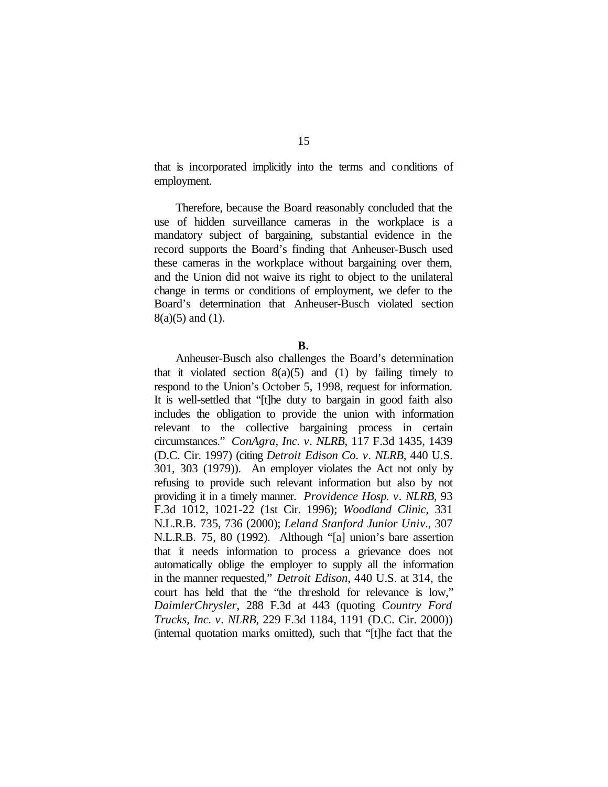that is incorporated implicitly into the terms and conditions of employment.

Therefore, because the Board reasonably concluded that the use of hidden surveillance cameras in the workplace is a mandatory subject of bargaining, substantial evidence in the record supports the Board's finding that Anheuser-Busch used these cameras in the workplace without bargaining over them, and the Union did not waive its right to object to the unilateral change in terms or conditions of employment, we defer to the Board's determination that Anheuser-Busch violated section 8(a)(5) and (1).

#### **B.**

Anheuser-Busch also challenges the Board's determination that it violated section  $8(a)(5)$  and (1) by failing timely to respond to the Union's October 5, 1998, request for information. It is well-settled that "[t]he duty to bargain in good faith also includes the obligation to provide the union with information relevant to the collective bargaining process in certain circumstances." *ConAgra, Inc. v. NLRB*, 117 F.3d 1435, 1439 (D.C. Cir. 1997) (citing *Detroit Edison Co. v. NLRB*, 440 U.S. 301, 303 (1979)). An employer violates the Act not only by refusing to provide such relevant information but also by not providing it in a timely manner. *Providence Hosp. v. NLRB*, 93 F.3d 1012, 1021-22 (1st Cir. 1996); *Woodland Clinic*, 331 N.L.R.B. 735, 736 (2000); *Leland Stanford Junior Univ.*, 307 N.L.R.B. 75, 80 (1992). Although "[a] union's bare assertion that it needs information to process a grievance does not automatically oblige the employer to supply all the information in the manner requested," *Detroit Edison*, 440 U.S. at 314, the court has held that the "the threshold for relevance is low," *DaimlerChrysler*, 288 F.3d at 443 (quoting *Country Ford Trucks, Inc. v. NLRB*, 229 F.3d 1184, 1191 (D.C. Cir. 2000)) (internal quotation marks omitted), such that "[t]he fact that the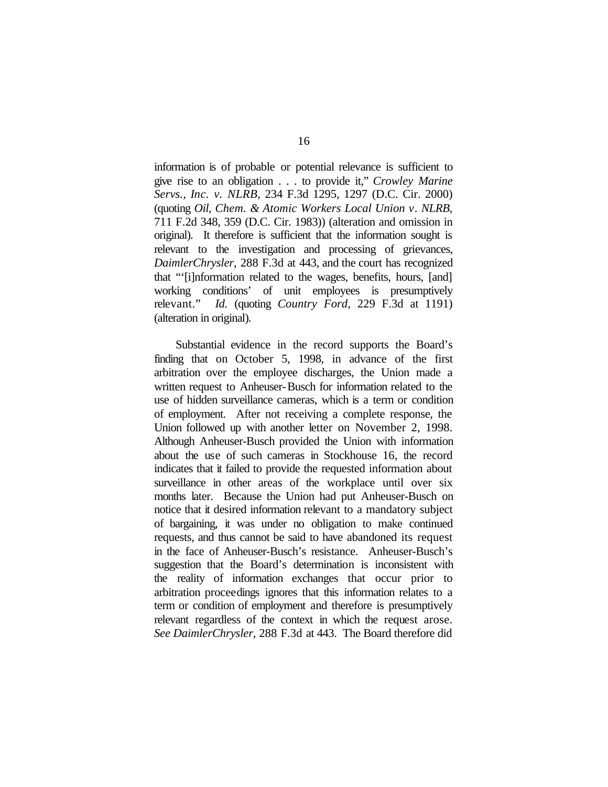information is of probable or potential relevance is sufficient to give rise to an obligation . . . to provide it," *Crowley Marine Servs., Inc. v. NLRB*, 234 F.3d 1295, 1297 (D.C. Cir. 2000) (quoting *Oil, Chem. & Atomic Workers Local Union v. NLRB*, 711 F.2d 348, 359 (D.C. Cir. 1983)) (alteration and omission in original). It therefore is sufficient that the information sought is relevant to the investigation and processing of grievances, *DaimlerChrysler*, 288 F.3d at 443, and the court has recognized that "'[i]nformation related to the wages, benefits, hours, [and] working conditions' of unit employees is presumptively relevant." *Id.* (quoting *Country Ford*, 229 F.3d at 1191) (alteration in original).

Substantial evidence in the record supports the Board's finding that on October 5, 1998, in advance of the first arbitration over the employee discharges, the Union made a written request to Anheuser-Busch for information related to the use of hidden surveillance cameras, which is a term or condition of employment. After not receiving a complete response, the Union followed up with another letter on November 2, 1998. Although Anheuser-Busch provided the Union with information about the use of such cameras in Stockhouse 16, the record indicates that it failed to provide the requested information about surveillance in other areas of the workplace until over six months later. Because the Union had put Anheuser-Busch on notice that it desired information relevant to a mandatory subject of bargaining, it was under no obligation to make continued requests, and thus cannot be said to have abandoned its request in the face of Anheuser-Busch's resistance. Anheuser-Busch's suggestion that the Board's determination is inconsistent with the reality of information exchanges that occur prior to arbitration proceedings ignores that this information relates to a term or condition of employment and therefore is presumptively relevant regardless of the context in which the request arose. *See DaimlerChrysler*, 288 F.3d at 443. The Board therefore did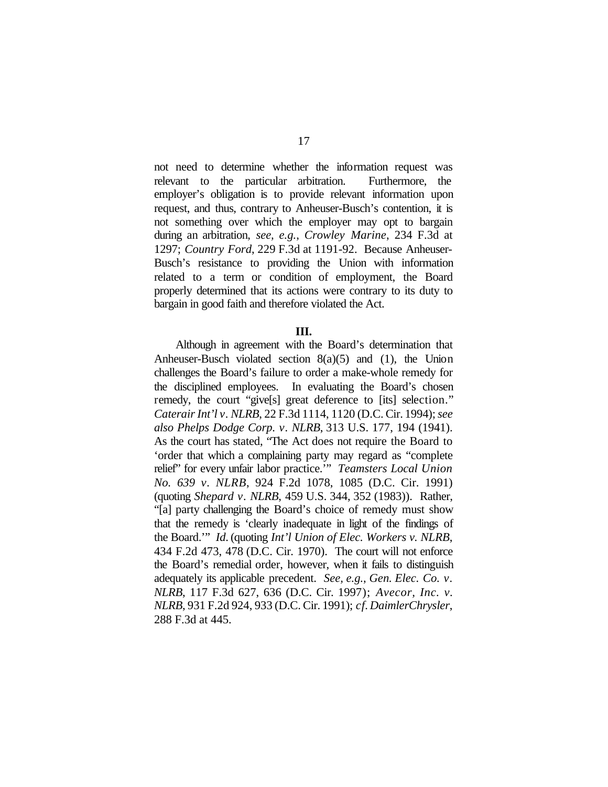not need to determine whether the information request was relevant to the particular arbitration. Furthermore, the employer's obligation is to provide relevant information upon request, and thus, contrary to Anheuser-Busch's contention, it is not something over which the employer may opt to bargain during an arbitration, *see, e.g.*, *Crowley Marine*, 234 F.3d at 1297; *Country Ford*, 229 F.3d at 1191-92. Because Anheuser-Busch's resistance to providing the Union with information related to a term or condition of employment, the Board properly determined that its actions were contrary to its duty to bargain in good faith and therefore violated the Act.

## **III.**

Although in agreement with the Board's determination that Anheuser-Busch violated section 8(a)(5) and (1), the Union challenges the Board's failure to order a make-whole remedy for the disciplined employees. In evaluating the Board's chosen remedy, the court "give[s] great deference to [its] selection." *CaterairInt'l v. NLRB*, 22 F.3d 1114, 1120 (D.C. Cir. 1994);*see also Phelps Dodge Corp. v. NLRB*, 313 U.S. 177, 194 (1941). As the court has stated, "The Act does not require the Board to 'order that which a complaining party may regard as "complete relief" for every unfair labor practice.'" *Teamsters Local Union No. 639 v. NLRB*, 924 F.2d 1078, 1085 (D.C. Cir. 1991) (quoting *Shepard v. NLRB*, 459 U.S. 344, 352 (1983)). Rather, "[a] party challenging the Board's choice of remedy must show that the remedy is 'clearly inadequate in light of the findings of the Board.'" *Id*. (quoting *Int'l Union of Elec. Workers v. NLRB*, 434 F.2d 473, 478 (D.C. Cir. 1970). The court will not enforce the Board's remedial order, however, when it fails to distinguish adequately its applicable precedent. *See, e.g.*, *Gen. Elec. Co. v. NLRB*, 117 F.3d 627, 636 (D.C. Cir. 1997); *Avecor, Inc. v. NLRB*, 931 F.2d 924, 933 (D.C. Cir. 1991); *cf. DaimlerChrysler*, 288 F.3d at 445.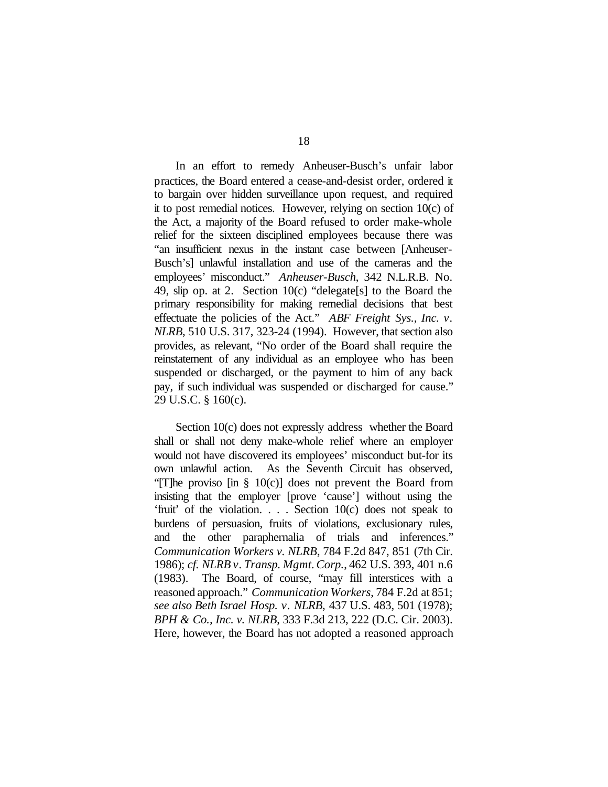In an effort to remedy Anheuser-Busch's unfair labor practices, the Board entered a cease-and-desist order, ordered it to bargain over hidden surveillance upon request, and required it to post remedial notices. However, relying on section 10(c) of the Act, a majority of the Board refused to order make-whole relief for the sixteen disciplined employees because there was "an insufficient nexus in the instant case between [Anheuser-Busch's] unlawful installation and use of the cameras and the employees' misconduct." *Anheuser-Busch*, 342 N.L.R.B. No. 49, slip op. at 2. Section 10(c) "delegate[s] to the Board the primary responsibility for making remedial decisions that best effectuate the policies of the Act." *ABF Freight Sys., Inc. v. NLRB*, 510 U.S. 317, 323-24 (1994). However, that section also provides, as relevant, "No order of the Board shall require the reinstatement of any individual as an employee who has been suspended or discharged, or the payment to him of any back pay, if such individual was suspended or discharged for cause." 29 U.S.C. § 160(c).

Section 10(c) does not expressly address whether the Board shall or shall not deny make-whole relief where an employer would not have discovered its employees' misconduct but-for its own unlawful action. As the Seventh Circuit has observed, "[T]he proviso [in § 10(c)] does not prevent the Board from insisting that the employer [prove 'cause'] without using the 'fruit' of the violation. . . . Section 10(c) does not speak to burdens of persuasion, fruits of violations, exclusionary rules, and the other paraphernalia of trials and inferences." *Communication Workers v. NLRB*, 784 F.2d 847, 851 (7th Cir. 1986); *cf. NLRB v. Transp. Mgmt.Corp.*, 462 U.S. 393, 401 n.6 (1983). The Board, of course, "may fill interstices with a reasoned approach." *Communication Workers*, 784 F.2d at 851; *see also Beth Israel Hosp. v. NLRB*, 437 U.S. 483, 501 (1978); *BPH & Co., Inc. v. NLRB*, 333 F.3d 213, 222 (D.C. Cir. 2003). Here, however, the Board has not adopted a reasoned approach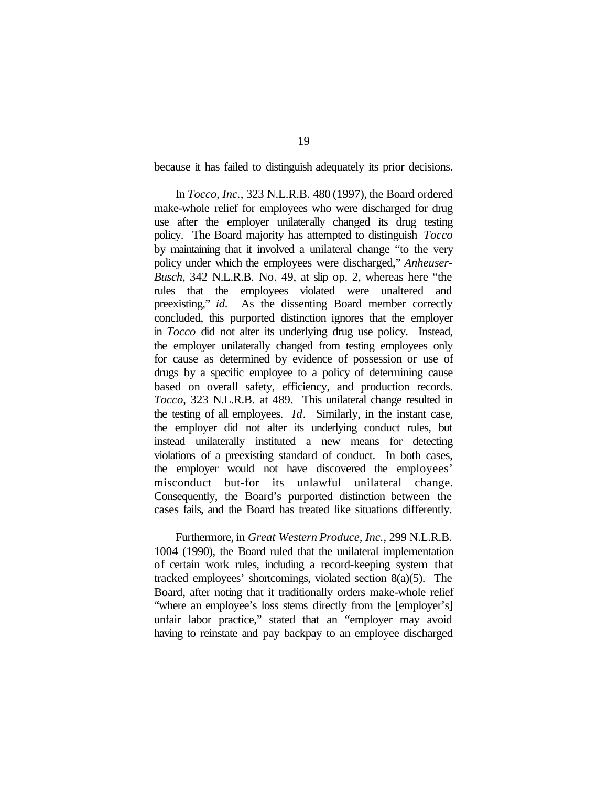because it has failed to distinguish adequately its prior decisions.

In *Tocco, Inc.*, 323 N.L.R.B. 480 (1997), the Board ordered make-whole relief for employees who were discharged for drug use after the employer unilaterally changed its drug testing policy. The Board majority has attempted to distinguish *Tocco* by maintaining that it involved a unilateral change "to the very policy under which the employees were discharged," *Anheuser-Busch*, 342 N.L.R.B. No. 49, at slip op. 2, whereas here "the rules that the employees violated were unaltered and preexisting," *id*. As the dissenting Board member correctly concluded, this purported distinction ignores that the employer in *Tocco* did not alter its underlying drug use policy. Instead, the employer unilaterally changed from testing employees only for cause as determined by evidence of possession or use of drugs by a specific employee to a policy of determining cause based on overall safety, efficiency, and production records. *Tocco*, 323 N.L.R.B. at 489. This unilateral change resulted in the testing of all employees. *Id.* Similarly, in the instant case, the employer did not alter its underlying conduct rules, but instead unilaterally instituted a new means for detecting violations of a preexisting standard of conduct. In both cases, the employer would not have discovered the employees' misconduct but-for its unlawful unilateral change. Consequently, the Board's purported distinction between the cases fails, and the Board has treated like situations differently.

Furthermore, in *Great Western Produce, Inc.*, 299 N.L.R.B. 1004 (1990), the Board ruled that the unilateral implementation of certain work rules, including a record-keeping system that tracked employees' shortcomings, violated section 8(a)(5). The Board, after noting that it traditionally orders make-whole relief "where an employee's loss stems directly from the [employer's] unfair labor practice," stated that an "employer may avoid having to reinstate and pay backpay to an employee discharged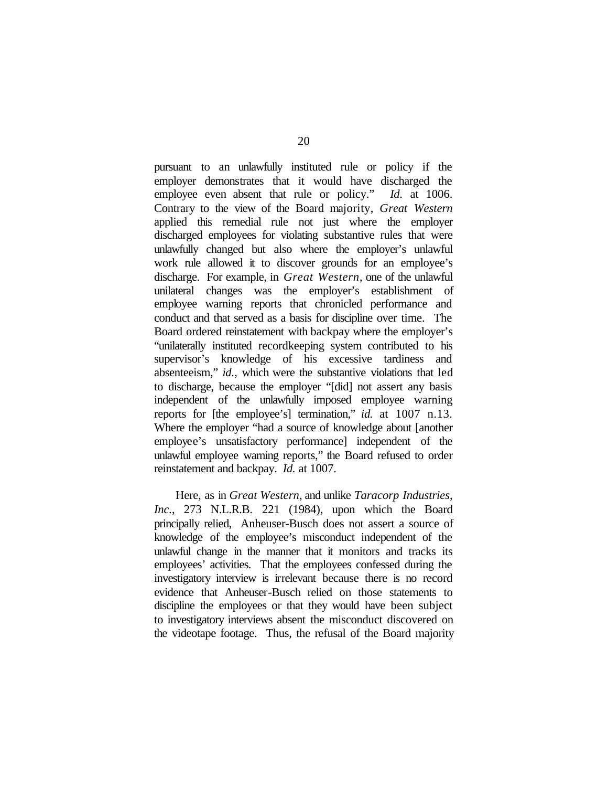pursuant to an unlawfully instituted rule or policy if the employer demonstrates that it would have discharged the employee even absent that rule or policy." *Id.* at 1006. Contrary to the view of the Board majority, *Great Western* applied this remedial rule not just where the employer discharged employees for violating substantive rules that were unlawfully changed but also where the employer's unlawful work rule allowed it to discover grounds for an employee's discharge. For example, in *Great Western*, one of the unlawful unilateral changes was the employer's establishment of employee warning reports that chronicled performance and conduct and that served as a basis for discipline over time. The Board ordered reinstatement with backpay where the employer's "unilaterally instituted recordkeeping system contributed to his supervisor's knowledge of his excessive tardiness and absenteeism," *id.*, which were the substantive violations that led to discharge, because the employer "[did] not assert any basis independent of the unlawfully imposed employee warning reports for [the employee's] termination," *id.* at 1007 n.13. Where the employer "had a source of knowledge about [another employee's unsatisfactory performance] independent of the unlawful employee warning reports," the Board refused to order reinstatement and backpay. *Id.* at 1007.

Here, as in *Great Western*, and unlike *Taracorp Industries, Inc.*, 273 N.L.R.B. 221 (1984), upon which the Board principally relied, Anheuser-Busch does not assert a source of knowledge of the employee's misconduct independent of the unlawful change in the manner that it monitors and tracks its employees' activities. That the employees confessed during the investigatory interview is irrelevant because there is no record evidence that Anheuser-Busch relied on those statements to discipline the employees or that they would have been subject to investigatory interviews absent the misconduct discovered on the videotape footage. Thus, the refusal of the Board majority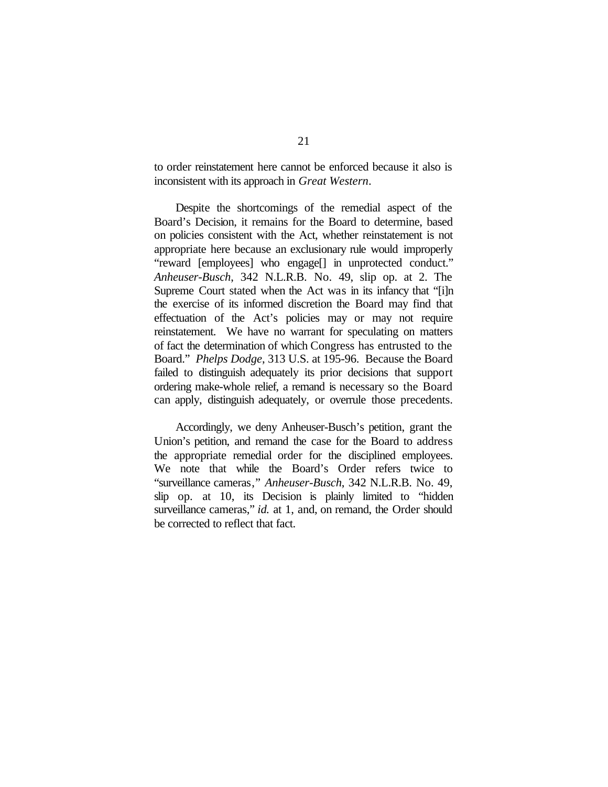to order reinstatement here cannot be enforced because it also is inconsistent with its approach in *Great Western*.

Despite the shortcomings of the remedial aspect of the Board's Decision, it remains for the Board to determine, based on policies consistent with the Act, whether reinstatement is not appropriate here because an exclusionary rule would improperly "reward [employees] who engage[] in unprotected conduct." *Anheuser-Busch*, 342 N.L.R.B. No. 49, slip op. at 2. The Supreme Court stated when the Act was in its infancy that "[i]n the exercise of its informed discretion the Board may find that effectuation of the Act's policies may or may not require reinstatement. We have no warrant for speculating on matters of fact the determination of which Congress has entrusted to the Board." *Phelps Dodge*, 313 U.S. at 195-96. Because the Board failed to distinguish adequately its prior decisions that support ordering make-whole relief, a remand is necessary so the Board can apply, distinguish adequately, or overrule those precedents.

Accordingly, we deny Anheuser-Busch's petition, grant the Union's petition, and remand the case for the Board to address the appropriate remedial order for the disciplined employees. We note that while the Board's Order refers twice to "surveillance cameras," *Anheuser-Busch*, 342 N.L.R.B. No. 49, slip op. at 10, its Decision is plainly limited to "hidden surveillance cameras," *id.* at 1, and, on remand, the Order should be corrected to reflect that fact.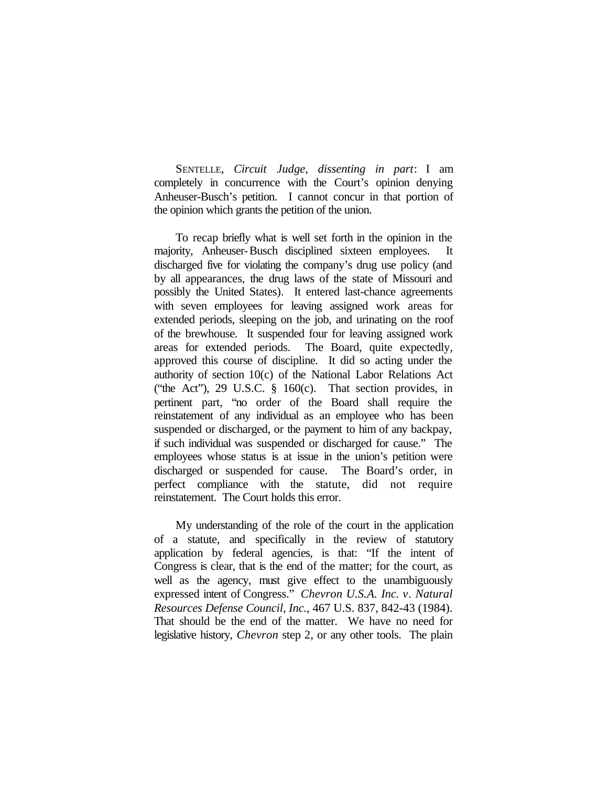SENTELLE, *Circuit Judge*, *dissenting in part*: I am completely in concurrence with the Court's opinion denying Anheuser-Busch's petition. I cannot concur in that portion of the opinion which grants the petition of the union.

To recap briefly what is well set forth in the opinion in the majority, Anheuser-Busch disciplined sixteen employees. It discharged five for violating the company's drug use policy (and by all appearances, the drug laws of the state of Missouri and possibly the United States). It entered last-chance agreements with seven employees for leaving assigned work areas for extended periods, sleeping on the job, and urinating on the roof of the brewhouse. It suspended four for leaving assigned work areas for extended periods. The Board, quite expectedly, approved this course of discipline. It did so acting under the authority of section 10(c) of the National Labor Relations Act ("the Act"), 29 U.S.C. § 160(c). That section provides, in pertinent part, "no order of the Board shall require the reinstatement of any individual as an employee who has been suspended or discharged, or the payment to him of any backpay, if such individual was suspended or discharged for cause." The employees whose status is at issue in the union's petition were discharged or suspended for cause. The Board's order, in perfect compliance with the statute, did not require reinstatement. The Court holds this error.

My understanding of the role of the court in the application of a statute, and specifically in the review of statutory application by federal agencies, is that: "If the intent of Congress is clear, that is the end of the matter; for the court, as well as the agency, must give effect to the unambiguously expressed intent of Congress." *Chevron U.S.A. Inc. v. Natural Resources Defense Council, Inc.*, 467 U.S. 837, 842-43 (1984). That should be the end of the matter. We have no need for legislative history, *Chevron* step 2, or any other tools. The plain